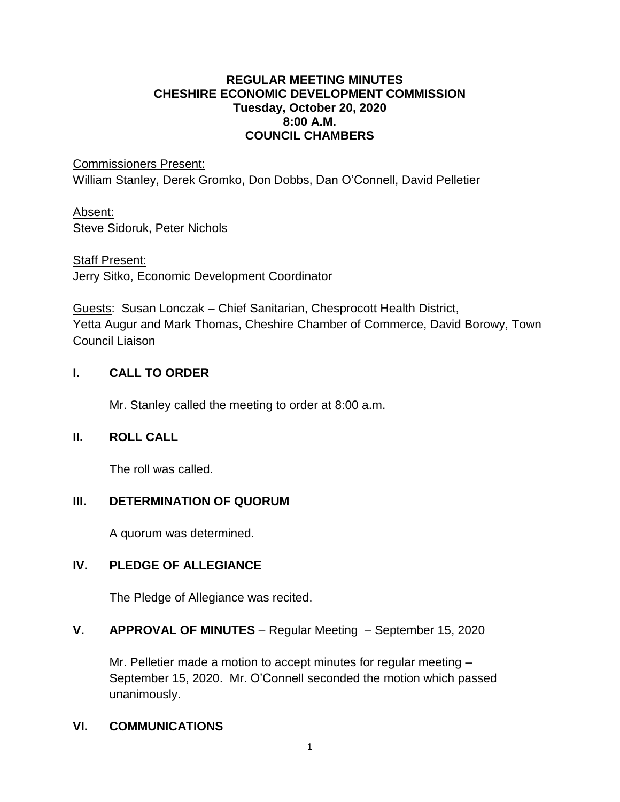#### **REGULAR MEETING MINUTES CHESHIRE ECONOMIC DEVELOPMENT COMMISSION Tuesday, October 20, 2020 8:00 A.M. COUNCIL CHAMBERS**

Commissioners Present:

William Stanley, Derek Gromko, Don Dobbs, Dan O'Connell, David Pelletier

### Absent:

Steve Sidoruk, Peter Nichols

### Staff Present:

Jerry Sitko, Economic Development Coordinator

Guests: Susan Lonczak – Chief Sanitarian, Chesprocott Health District, Yetta Augur and Mark Thomas, Cheshire Chamber of Commerce, David Borowy, Town Council Liaison

### **I. CALL TO ORDER**

Mr. Stanley called the meeting to order at 8:00 a.m.

# **II. ROLL CALL**

The roll was called.

# **III. DETERMINATION OF QUORUM**

A quorum was determined.

# **IV. PLEDGE OF ALLEGIANCE**

The Pledge of Allegiance was recited.

# **V. APPROVAL OF MINUTES** – Regular Meeting – September 15, 2020

Mr. Pelletier made a motion to accept minutes for regular meeting – September 15, 2020. Mr. O'Connell seconded the motion which passed unanimously.

#### **VI. COMMUNICATIONS**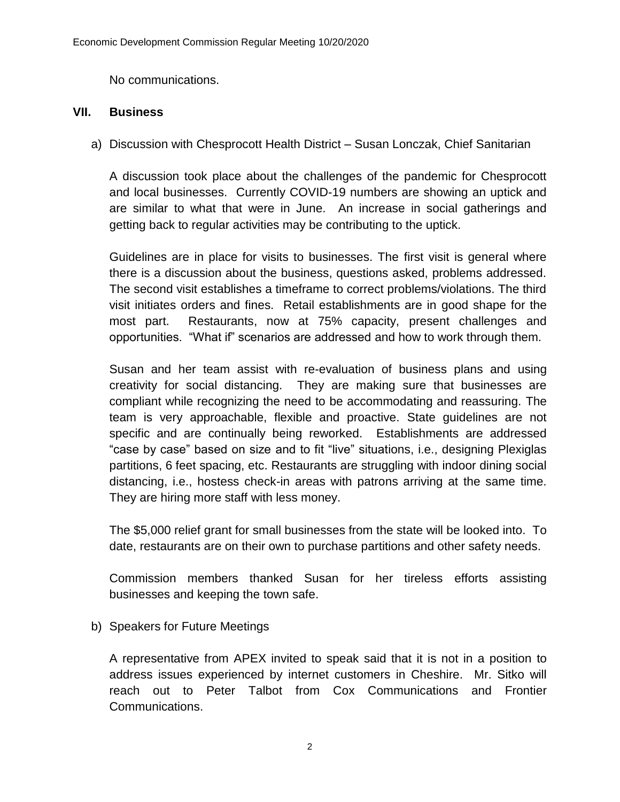No communications.

### **VII. Business**

a) Discussion with Chesprocott Health District – Susan Lonczak, Chief Sanitarian

A discussion took place about the challenges of the pandemic for Chesprocott and local businesses. Currently COVID-19 numbers are showing an uptick and are similar to what that were in June. An increase in social gatherings and getting back to regular activities may be contributing to the uptick.

Guidelines are in place for visits to businesses. The first visit is general where there is a discussion about the business, questions asked, problems addressed. The second visit establishes a timeframe to correct problems/violations. The third visit initiates orders and fines. Retail establishments are in good shape for the most part. Restaurants, now at 75% capacity, present challenges and opportunities. "What if" scenarios are addressed and how to work through them.

Susan and her team assist with re-evaluation of business plans and using creativity for social distancing. They are making sure that businesses are compliant while recognizing the need to be accommodating and reassuring. The team is very approachable, flexible and proactive. State guidelines are not specific and are continually being reworked. Establishments are addressed "case by case" based on size and to fit "live" situations, i.e., designing Plexiglas partitions, 6 feet spacing, etc. Restaurants are struggling with indoor dining social distancing, i.e., hostess check-in areas with patrons arriving at the same time. They are hiring more staff with less money.

The \$5,000 relief grant for small businesses from the state will be looked into. To date, restaurants are on their own to purchase partitions and other safety needs.

Commission members thanked Susan for her tireless efforts assisting businesses and keeping the town safe.

b) Speakers for Future Meetings

A representative from APEX invited to speak said that it is not in a position to address issues experienced by internet customers in Cheshire. Mr. Sitko will reach out to Peter Talbot from Cox Communications and Frontier Communications.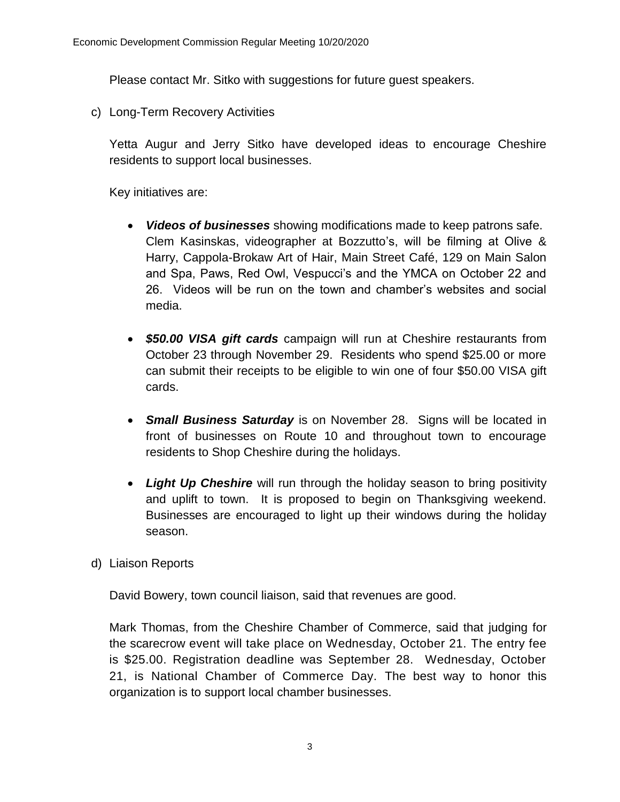Please contact Mr. Sitko with suggestions for future guest speakers.

c) Long-Term Recovery Activities

Yetta Augur and Jerry Sitko have developed ideas to encourage Cheshire residents to support local businesses.

Key initiatives are:

- *Videos of businesses* showing modifications made to keep patrons safe. Clem Kasinskas, videographer at Bozzutto's, will be filming at Olive & Harry, Cappola-Brokaw Art of Hair, Main Street Café, 129 on Main Salon and Spa, Paws, Red Owl, Vespucci's and the YMCA on October 22 and 26. Videos will be run on the town and chamber's websites and social media.
- *\$50.00 VISA gift cards* campaign will run at Cheshire restaurants from October 23 through November 29. Residents who spend \$25.00 or more can submit their receipts to be eligible to win one of four \$50.00 VISA gift cards.
- *Small Business Saturday* is on November 28. Signs will be located in front of businesses on Route 10 and throughout town to encourage residents to Shop Cheshire during the holidays.
- *Light Up Cheshire* will run through the holiday season to bring positivity and uplift to town. It is proposed to begin on Thanksgiving weekend. Businesses are encouraged to light up their windows during the holiday season.

# d) Liaison Reports

David Bowery, town council liaison, said that revenues are good.

Mark Thomas, from the Cheshire Chamber of Commerce, said that judging for the scarecrow event will take place on Wednesday, October 21. The entry fee is \$25.00. Registration deadline was September 28. Wednesday, October 21, is National Chamber of Commerce Day. The best way to honor this organization is to support local chamber businesses.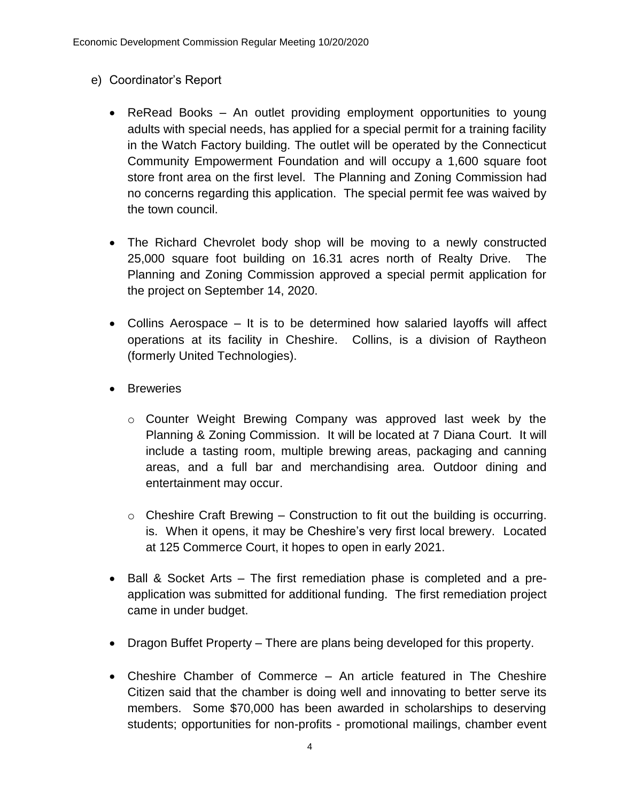### e) Coordinator's Report

- ReRead Books An outlet providing employment opportunities to young adults with special needs, has applied for a special permit for a training facility in the Watch Factory building. The outlet will be operated by the Connecticut Community Empowerment Foundation and will occupy a 1,600 square foot store front area on the first level. The Planning and Zoning Commission had no concerns regarding this application. The special permit fee was waived by the town council.
- The Richard Chevrolet body shop will be moving to a newly constructed 25,000 square foot building on 16.31 acres north of Realty Drive. The Planning and Zoning Commission approved a special permit application for the project on September 14, 2020.
- Collins Aerospace It is to be determined how salaried layoffs will affect operations at its facility in Cheshire. Collins, is a division of Raytheon (formerly United Technologies).
- Breweries
	- o Counter Weight Brewing Company was approved last week by the Planning & Zoning Commission. It will be located at 7 Diana Court. It will include a tasting room, multiple brewing areas, packaging and canning areas, and a full bar and merchandising area. Outdoor dining and entertainment may occur.
	- $\circ$  Cheshire Craft Brewing Construction to fit out the building is occurring. is. When it opens, it may be Cheshire's very first local brewery. Located at 125 Commerce Court, it hopes to open in early 2021.
- Ball & Socket Arts The first remediation phase is completed and a preapplication was submitted for additional funding. The first remediation project came in under budget.
- Dragon Buffet Property There are plans being developed for this property.
- Cheshire Chamber of Commerce An article featured in The Cheshire Citizen said that the chamber is doing well and innovating to better serve its members. Some \$70,000 has been awarded in scholarships to deserving students; opportunities for non-profits - promotional mailings, chamber event